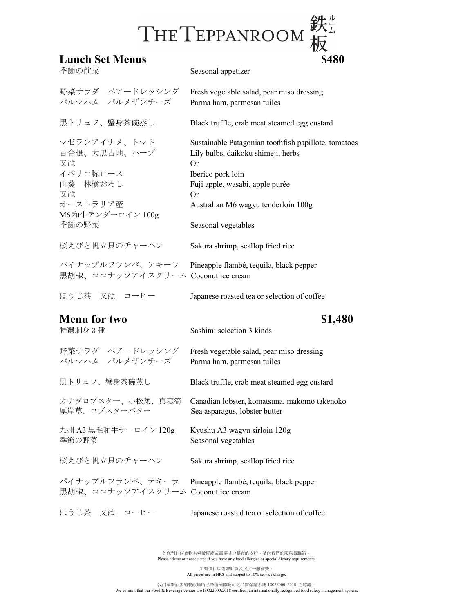## $THE TEPPANROOM \frac{24}{100}$ <br>Lunch Set Menus \$480

| 季節の前菜                                                            | Seasonal appetizer                                                                                                                                                           |
|------------------------------------------------------------------|------------------------------------------------------------------------------------------------------------------------------------------------------------------------------|
| 野菜サラダ ペアードレッシング<br>パルマハム パルメザンチーズ                                | Fresh vegetable salad, pear miso dressing<br>Parma ham, parmesan tuiles                                                                                                      |
| 黒トリュフ、蟹身茶碗蒸し                                                     | Black truffle, crab meat steamed egg custard                                                                                                                                 |
| マゼランアイナメ、トマト<br>百合根、大黒占地、ハーブ<br>又は<br>イベリコ豚ロース<br>山葵 林檎おろし<br>又は | Sustainable Patagonian toothfish papillote, tomatoes<br>Lily bulbs, daikoku shimeji, herbs<br><b>Or</b><br>Iberico pork loin<br>Fuji apple, wasabi, apple purée<br><b>Or</b> |
| オーストラリア産                                                         | Australian M6 wagyu tenderloin 100g                                                                                                                                          |
| M6 和牛テンダーロイン 100g<br>季節の野菜                                       | Seasonal vegetables                                                                                                                                                          |
| 桜えびと帆立貝のチャーハン                                                    | Sakura shrimp, scallop fried rice                                                                                                                                            |
| パイナップルフランベ、テキーラ<br>黒胡椒、ココナッツアイスクリーム Coconut ice cream            | Pineapple flambé, tequila, black pepper                                                                                                                                      |
| ほうじ茶 又は コーヒー                                                     | Japanese roasted tea or selection of coffee                                                                                                                                  |
| <b>Menu for two</b><br>特選刺身3種                                    | \$1,480<br>Sashimi selection 3 kinds                                                                                                                                         |
| 野菜サラダ ペアードレッシング<br>パルマハム パルメザンチーズ                                | Fresh vegetable salad, pear miso dressing<br>Parma ham, parmesan tuiles                                                                                                      |
| 黒トリュフ、蟹身茶碗蒸し                                                     | Black truffle, crab meat steamed egg custard                                                                                                                                 |
| カナダロブスター、小松菜、真菰筍<br>厚岸草、ロブスターバター                                 | Canadian lobster, komatsuna, makomo takenoko<br>Sea asparagus, lobster butter                                                                                                |
| 九州 A3 黒毛和牛サーロイン 120g<br>季節の野菜                                    | Kyushu A3 wagyu sirloin 120g<br>Seasonal vegetables                                                                                                                          |
| 桜えびと帆立貝のチャーハン                                                    | Sakura shrimp, scallop fried rice                                                                                                                                            |
| パイナップルフランベ、テキーラ<br>黒胡椒、ココナッツアイスクリーム Coconut ice cream            | Pineapple flambé, tequila, black pepper                                                                                                                                      |
| ほうじ茶 又は コーヒー                                                     | Japanese roasted tea or selection of coffee                                                                                                                                  |

如您對任何食物有過敏反應或需要其他膳食的安排,請向我們的服務員聯絡。 Please advise our associates if you have any food allergies or special dietary requirements.

所有價目以港幣計算及另加一服務費。 All prices are in HK\$ and subject to 10% service charge.